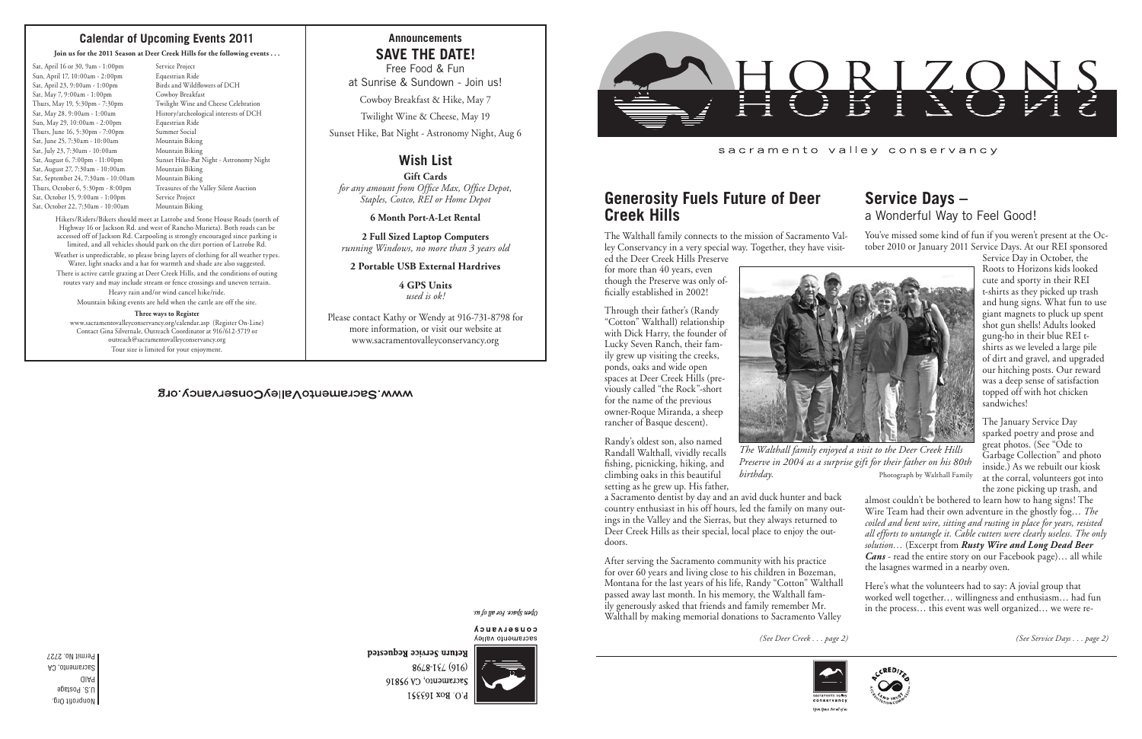Nonprofit Org. U.S. Postage PAID Sacramento, CA Permit No. 2727 *(See Deer Creek . . . page 2) (See Service Days . . . page 2)*

### **Announcements SAVE THE DATE!**

Free Food & Fun at Sunrise & Sundown - Join us!

Cowboy Breakfast & Hike, May 7

Twilight Wine & Cheese, May 19

Sunset Hike, Bat Night - Astronomy Night, Aug 6

## **Wish List**

**Gift Cards** *for any amount from Office Max, Office Depot, Staples, Costco, REI or Home Depot*

**6 Month Port-A-Let Rental**

**2 Full Sized Laptop Computers** *running Windows, no more than 3 years old*

#### **2 Portable USB External Hardrives**

**4 GPS Units** *used is ok!*

Please contact Kathy or Wendy at 916-731-8798 for more information, or visit our website at www.sacramentovalleyconservancy.org

#### WWW.SacramentoValleyConservancy.org

open Space For all by the

CONSELASUCA sacramento valley



8648-184 (916) Sacramento, CA 95816 P.O. Box 163351



sacramento valley conservancy

## **Service Days –** a Wonderful Way to Feel Good!

Service Day in October, the Roots to Horizons kids looked cute and sporty in their REI t-shirts as they picked up trash and hung signs. What fun to use giant magnets to pluck up spent shot gun shells! Adults looked gung-ho in their blue REI tshirts as we leveled a large pile of dirt and gravel, and upgraded our hitching posts. Our reward was a deep sense of satisfaction topped off with hot chicken sandwiches!

The January Service Day sparked poetry and prose and great photos. (See "Ode to Garbage Collection" and photo inside.) As we rebuilt our kiosk at the corral, volunteers got into the zone picking up trash, and

You've missed some kind of fun if you weren't present at the October 2010 or January 2011 Service Days. At our REI sponsored The Walthall family connects to the mission of Sacramento Valley Conservancy in a very special way. Together, they have visited the Deer Creek Hills Preserve



*The Walthall family enjoyed a visit to the Deer Creek Hills Preserve in 2004 as a surprise gift for their father on his 80th birthday*. Photograph by Walthall Family

- almost couldn't be bothered to learn how to hang signs! The Wire Team had their own adventure in the ghostly fog… *The coiled and bent wire, sitting and rusting in place for years, resisted all efforts to untangle it. Cable cutters were clearly useless. The only solution…* (Excerpt from *Rusty Wire and Long Dead Beer Cans* - read the entire story on our Facebook page)… all while the lasagnes warmed in a nearby oven.
- Here's what the volunteers had to say: A jovial group that worked well together… willingness and enthusiasm… had fun in the process… this event was well organized… we were re-



## **Generosity Fuels Future of Deer Creek Hills**

- Sat, April 16 or 30, 9am 1:00pm Service Project Sun, April 17, 10:00am - 2:00pm Equestrian Ride Sat, April 23, 9:00am - 1:00pm Birds and Wildflowers of DCH Sat, May 7, 9:00am - 1:00pm Cowboy Breakfast<br>Thurs, May 19, 5:30pm - 7:30pm Twilight Wine and Sun, May 29, 10:00am - 2:00pm Equestrian Ride Thurs, June 16, 5:30pm - 7:00pm Summer Social Sat, June 25, 7:30am - 10:00am Mountain Biking Sat, July 23, 7:30am - 10:00am Mountain Biking Sat, August 27, 7:30am - 10:00am Mountain Biking<br>Sat, September 24, 7:30am - 10:00am Mountain Biking Sat, September 24, 7:30am - 10:00am Sat, October 15, 9:00am - 1:00pm Service Project Sat, October 22, 7:30am - 10:00am Mountain Biking
- Twilight Wine and Cheese Celebration Sat, May 28, 9:00am - 1:00am History/archeological interests of DCH Sat, August 6, 7:00pm - 11:00pm Sunset Hike-Bat Night - Astronomy Night Thurs, October 6, 5:30pm - 8:00pm Treasures of the Valley Silent Auction

for more than 40 years, even though the Preserve was only officially established in 2002!

Through their father's (Randy "Cotton" Walthall) relationship with Dick Harry, the founder of Lucky Seven Ranch, their family grew up visiting the creeks, ponds, oaks and wide open spaces at Deer Creek Hills (previously called "the Rock"-short for the name of the previous owner-Roque Miranda, a sheep rancher of Basque descent).

Randy's oldest son, also named Randall Walthall, vividly recalls fishing, picnicking, hiking, and climbing oaks in this beautiful setting as he grew up. His father,

a Sacramento dentist by day and an avid duck hunter and back country enthusiast in his off hours, led the family on many outings in the Valley and the Sierras, but they always returned to Deer Creek Hills as their special, local place to enjoy the outdoors.

After serving the Sacramento community with his practice for over 60 years and living close to his children in Bozeman, Montana for the last years of his life, Randy "Cotton" Walthall passed away last month. In his memory, the Walthall family generously asked that friends and family remember Mr. Walthall by making memorial donations to Sacramento Valley



Open Space. For all of u

Return Service Requested

#### **Calendar of Upcoming Events 2011**

#### **Join us for the 2011 Season at Deer Creek Hills for the following events . . .**

Hikers/Riders/Bikers should meet at Latrobe and Stone House Roads (north of Highway 16 or Jackson Rd. and west of Rancho Murieta). Both roads can be accessed off of Jackson Rd. Carpooling is strongly encouraged since parking is limited, and all vehicles should park on the dirt portion of Latrobe Rd. Weather is unpredictable, so please bring layers of clothing for all weather types. Water, light snacks and a hat for warmth and shade are also suggested. There is active cattle grazing at Deer Creek Hills, and the conditions of outing routes vary and may include stream or fence crossings and uneven terrain. Heavy rain and/or wind cancel hike/ride. Mountain biking events are held when the cattle are off the site.

#### **Three ways to Register**

www.sacramentovalleyconservancy.org/calendar.asp (Register On-Line) Contact Gina Silvernale, Outreach Coordinator at 916/612-3719 or outreach@sacramentovalleyconservancy.org Tour size is limited for your enjoyment.